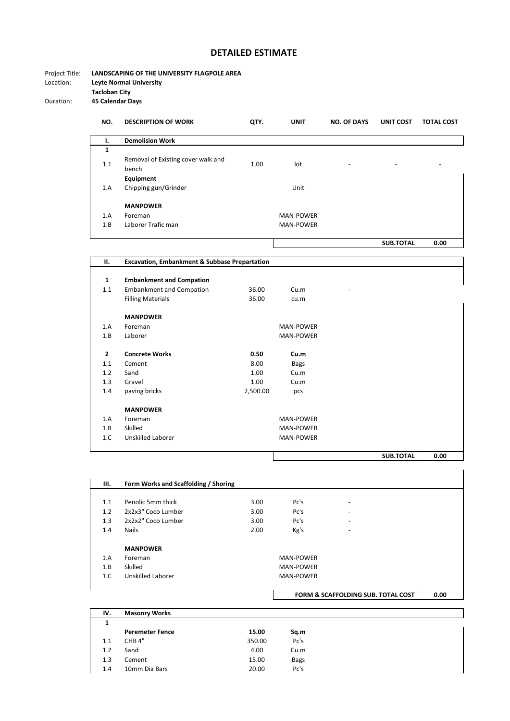## **DETAILED ESTIMATE**

Project Title: **LANDSCAPING OF THE UNIVERSITY FLAGPOLE AREA**<br>Location: **Leyte Normal University Leyte Normal University Tacloban City**

Duration: **45 Calendar Days**

| NO. | <b>DESCRIPTION OF WORK</b>                  | QTY. | <b>UNIT</b>      | <b>NO. OF DAYS</b>       | <b>UNIT COST</b>         | <b>TOTAL COST</b> |
|-----|---------------------------------------------|------|------------------|--------------------------|--------------------------|-------------------|
| ı.  | <b>Demolision Work</b>                      |      |                  |                          |                          |                   |
| 1   |                                             |      |                  |                          |                          |                   |
| 1.1 | Removal of Existing cover walk and<br>bench | 1.00 | lot              | $\overline{\phantom{a}}$ | $\overline{\phantom{0}}$ | -                 |
|     | Equipment                                   |      |                  |                          |                          |                   |
| 1.A | Chipping gun/Grinder                        |      | Unit             |                          |                          |                   |
|     | <b>MANPOWER</b>                             |      |                  |                          |                          |                   |
| 1.A | Foreman                                     |      | <b>MAN-POWER</b> |                          |                          |                   |
| 1.B | Laborer Trafic man                          |      | <b>MAN-POWER</b> |                          |                          |                   |
|     |                                             |      |                  |                          | <b>SUB.TOTAL</b>         | 0.00              |
|     |                                             |      |                  |                          |                          |                   |

| П.             | <b>Excavation, Embankment &amp; Subbase Prepartation</b> |          |                  |           |      |
|----------------|----------------------------------------------------------|----------|------------------|-----------|------|
|                |                                                          |          |                  |           |      |
| $\mathbf{1}$   | <b>Embankment and Compation</b>                          |          |                  |           |      |
| 1.1            | <b>Embankment and Compation</b>                          | 36.00    | Cu.m             |           |      |
|                | <b>Filling Materials</b>                                 | 36.00    | cu.m             |           |      |
|                | <b>MANPOWER</b>                                          |          |                  |           |      |
| 1.A            | Foreman                                                  |          | <b>MAN-POWER</b> |           |      |
| 1.B            | Laborer                                                  |          | <b>MAN-POWER</b> |           |      |
| $\overline{2}$ | <b>Concrete Works</b>                                    | 0.50     | Cu.m             |           |      |
| 1.1            | Cement                                                   | 8.00     | Bags             |           |      |
| 1.2            | Sand                                                     | 1.00     | Cu.m             |           |      |
| 1.3            | Gravel                                                   | 1.00     | Cu.m             |           |      |
| 1.4            | paving bricks                                            | 2,500.00 | pcs              |           |      |
|                | <b>MANPOWER</b>                                          |          |                  |           |      |
| 1.A            | Foreman                                                  |          | <b>MAN-POWER</b> |           |      |
| 1.B            | Skilled                                                  |          | <b>MAN-POWER</b> |           |      |
| 1.C            | Unskilled Laborer                                        |          | <b>MAN-POWER</b> |           |      |
|                |                                                          |          |                  | SUB.TOTAL | 0.00 |

**III. Form Works and Scaffolding / Shoring** 1.1 Penolic 5mm thick 3.00 Pc's -1.2 2x2x3" Coco Lumber 3.00 Pc's - 1.3 2x2x2" Coco Lumber 3.00 Pc's -<br>1.4 Nails 2.00 Kg's -1.4 Nails 2.00 Kg's - **MANPOWER** 1.A Foreman MAN-POWER 1.B Skilled MAN-POWER 1.C Unskilled Laborer MAN-POWER **FORM & SCAFFOLDING SUB. TOTAL COST 0.00**

| IV. | <b>Masonry Works</b>   |        |      |
|-----|------------------------|--------|------|
| 1   |                        |        |      |
|     | <b>Peremeter Fence</b> | 15.00  | Sq.m |
| 1.1 | CHB <sub>4</sub> "     | 350.00 | Pc's |
| 1.2 | Sand                   | 4.00   | Cu.m |
| 1.3 | Cement                 | 15.00  | Bags |
| 1.4 | 10mm Dia Bars          | 20.00  | Pc's |